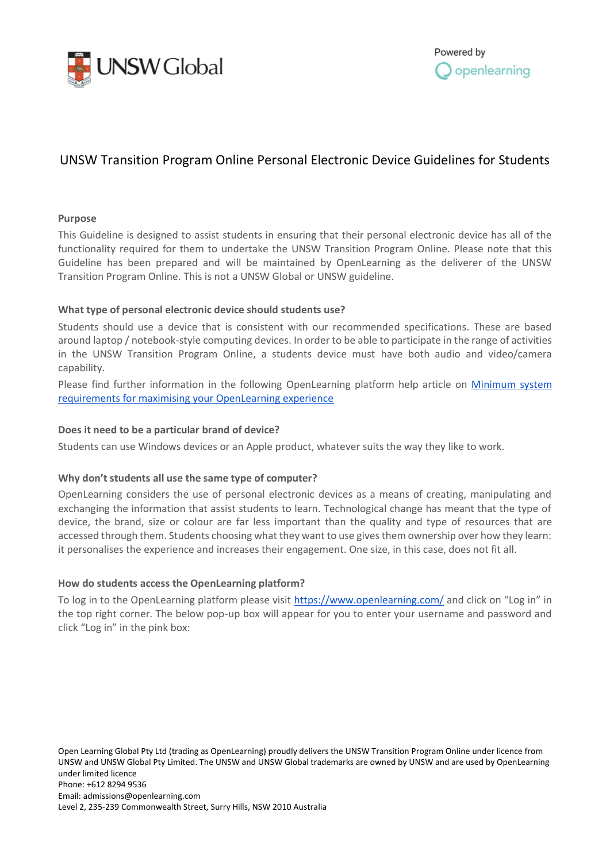



# UNSW Transition Program Online Personal Electronic Device Guidelines for Students

## **Purpose**

This Guideline is designed to assist students in ensuring that their personal electronic device has all of the functionality required for them to undertake the UNSW Transition Program Online. Please note that this Guideline has been prepared and will be maintained by OpenLearning as the deliverer of the UNSW Transition Program Online. This is not a UNSW Global or UNSW guideline.

## **What type of personal electronic device should students use?**

Students should use a device that is consistent with our recommended specifications. These are based around laptop / notebook-style computing devices. In order to be able to participate in the range of activities in the UNSW Transition Program Online, a students device must have both audio and video/camera capability.

Please find further information in the following OpenLearning platform help article on [Minimum system](https://help.openlearning.com/t/y7grg4/openlearning-minimum-system-requirements)  [requirements for maximising your OpenLearning experience](https://help.openlearning.com/t/y7grg4/openlearning-minimum-system-requirements)

## **Does it need to be a particular brand of device?**

Students can use Windows devices or an Apple product, whatever suits the way they like to work.

# **Why don't students all use the same type of computer?**

OpenLearning considers the use of personal electronic devices as a means of creating, manipulating and exchanging the information that assist students to learn. Technological change has meant that the type of device, the brand, size or colour are far less important than the quality and type of resources that are accessed through them. Students choosing what they want to use gives them ownership over how they learn: it personalises the experience and increases their engagement. One size, in this case, does not fit all.

# **How do students access the OpenLearning platform?**

To log in to the OpenLearning platform please visit<https://www.openlearning.com/> and click on "Log in" in the top right corner. The below pop-up box will appear for you to enter your username and password and click "Log in" in the pink box: